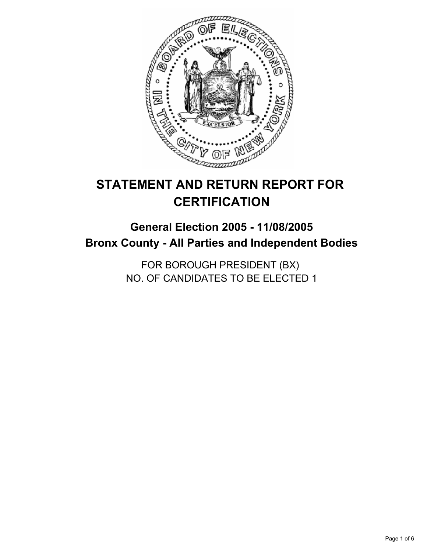

# **STATEMENT AND RETURN REPORT FOR CERTIFICATION**

## **General Election 2005 - 11/08/2005 Bronx County - All Parties and Independent Bodies**

FOR BOROUGH PRESIDENT (BX) NO. OF CANDIDATES TO BE ELECTED 1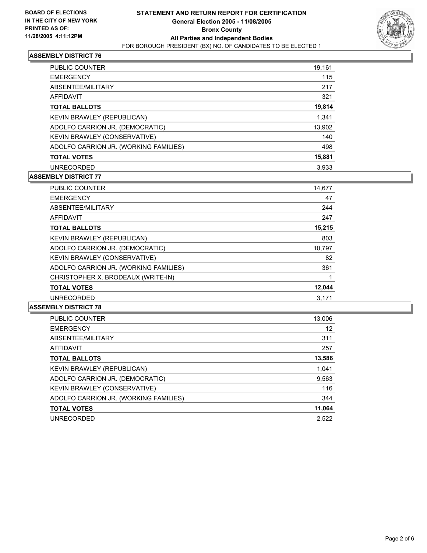

| <b>PUBLIC COUNTER</b>                 | 19,161 |
|---------------------------------------|--------|
| <b>EMERGENCY</b>                      | 115    |
| ABSENTEE/MILITARY                     | 217    |
| AFFIDAVIT                             | 321    |
| <b>TOTAL BALLOTS</b>                  | 19,814 |
| KEVIN BRAWLEY (REPUBLICAN)            | 1,341  |
| ADOLFO CARRION JR. (DEMOCRATIC)       | 13,902 |
| KEVIN BRAWLEY (CONSERVATIVE)          | 140    |
| ADOLFO CARRION JR. (WORKING FAMILIES) | 498    |
| <b>TOTAL VOTES</b>                    | 15,881 |
| <b>UNRECORDED</b>                     | 3,933  |

## **ASSEMBLY DISTRICT 77**

| PUBLIC COUNTER                        | 14,677 |  |
|---------------------------------------|--------|--|
| <b>EMERGENCY</b>                      | 47     |  |
| ABSENTEE/MILITARY                     | 244    |  |
| <b>AFFIDAVIT</b>                      | 247    |  |
| <b>TOTAL BALLOTS</b>                  | 15,215 |  |
| <b>KEVIN BRAWLEY (REPUBLICAN)</b>     | 803    |  |
| ADOLFO CARRION JR. (DEMOCRATIC)       | 10,797 |  |
| KEVIN BRAWLEY (CONSERVATIVE)          | 82     |  |
| ADOLFO CARRION JR. (WORKING FAMILIES) | 361    |  |
| CHRISTOPHER X. BRODEAUX (WRITE-IN)    |        |  |
| <b>TOTAL VOTES</b>                    | 12,044 |  |
| <b>UNRECORDED</b>                     | 3.171  |  |

| <b>PUBLIC COUNTER</b>                 | 13,006 |
|---------------------------------------|--------|
| <b>EMERGENCY</b>                      | 12     |
| ABSENTEE/MILITARY                     | 311    |
| AFFIDAVIT                             | 257    |
| <b>TOTAL BALLOTS</b>                  | 13,586 |
| KEVIN BRAWLEY (REPUBLICAN)            | 1,041  |
| ADOLFO CARRION JR. (DEMOCRATIC)       | 9,563  |
| KEVIN BRAWLEY (CONSERVATIVE)          | 116    |
| ADOLFO CARRION JR. (WORKING FAMILIES) | 344    |
| <b>TOTAL VOTES</b>                    | 11,064 |
| <b>UNRECORDED</b>                     | 2.522  |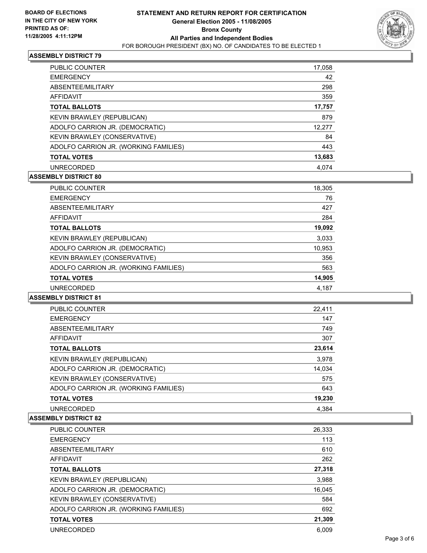

| PUBLIC COUNTER                        | 17,058 |
|---------------------------------------|--------|
| <b>EMERGENCY</b>                      | 42     |
| ABSENTEE/MILITARY                     | 298    |
| AFFIDAVIT                             | 359    |
| <b>TOTAL BALLOTS</b>                  | 17,757 |
| KEVIN BRAWLEY (REPUBLICAN)            | 879    |
| ADOLFO CARRION JR. (DEMOCRATIC)       | 12,277 |
| KEVIN BRAWLEY (CONSERVATIVE)          | 84     |
| ADOLFO CARRION JR. (WORKING FAMILIES) | 443    |
| <b>TOTAL VOTES</b>                    | 13,683 |
| <b>UNRECORDED</b>                     | 4.074  |

## **ASSEMBLY DISTRICT 80**

| PUBLIC COUNTER                        | 18,305 |
|---------------------------------------|--------|
| <b>EMERGENCY</b>                      | 76     |
| ABSENTEE/MILITARY                     | 427    |
| AFFIDAVIT                             | 284    |
| <b>TOTAL BALLOTS</b>                  | 19,092 |
| KEVIN BRAWLEY (REPUBLICAN)            | 3,033  |
| ADOLFO CARRION JR. (DEMOCRATIC)       | 10,953 |
| KEVIN BRAWLEY (CONSERVATIVE)          | 356    |
| ADOLFO CARRION JR. (WORKING FAMILIES) | 563    |
| <b>TOTAL VOTES</b>                    | 14,905 |
| <b>UNRECORDED</b>                     | 4,187  |
|                                       |        |

#### **ASSEMBLY DISTRICT 81**

| <b>PUBLIC COUNTER</b>                 | 22,411 |
|---------------------------------------|--------|
| <b>EMERGENCY</b>                      | 147    |
| ABSENTEE/MILITARY                     | 749    |
| AFFIDAVIT                             | 307    |
| <b>TOTAL BALLOTS</b>                  | 23,614 |
| KEVIN BRAWLEY (REPUBLICAN)            | 3,978  |
| ADOLFO CARRION JR. (DEMOCRATIC)       | 14,034 |
| KEVIN BRAWLEY (CONSERVATIVE)          | 575    |
| ADOLFO CARRION JR. (WORKING FAMILIES) | 643    |
| <b>TOTAL VOTES</b>                    | 19,230 |
| <b>UNRECORDED</b>                     | 4.384  |

| <b>PUBLIC COUNTER</b>                 | 26,333 |
|---------------------------------------|--------|
| <b>EMERGENCY</b>                      | 113    |
| ABSENTEE/MILITARY                     | 610    |
| AFFIDAVIT                             | 262    |
| <b>TOTAL BALLOTS</b>                  | 27,318 |
| KEVIN BRAWLEY (REPUBLICAN)            | 3,988  |
| ADOLFO CARRION JR. (DEMOCRATIC)       | 16,045 |
| KEVIN BRAWLEY (CONSERVATIVE)          | 584    |
| ADOLFO CARRION JR. (WORKING FAMILIES) | 692    |
| <b>TOTAL VOTES</b>                    | 21,309 |
| <b>UNRECORDED</b>                     | 6.009  |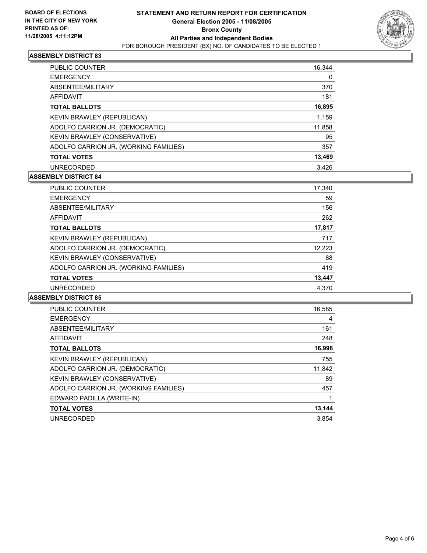

| <b>PUBLIC COUNTER</b>                 | 16,344 |
|---------------------------------------|--------|
| <b>EMERGENCY</b>                      | 0      |
| ABSENTEE/MILITARY                     | 370    |
| AFFIDAVIT                             | 181    |
| <b>TOTAL BALLOTS</b>                  | 16,895 |
| KEVIN BRAWLEY (REPUBLICAN)            | 1,159  |
| ADOLFO CARRION JR. (DEMOCRATIC)       | 11,858 |
| KEVIN BRAWLEY (CONSERVATIVE)          | 95     |
| ADOLFO CARRION JR. (WORKING FAMILIES) | 357    |
| <b>TOTAL VOTES</b>                    | 13,469 |
| <b>UNRECORDED</b>                     | 3,426  |

## **ASSEMBLY DISTRICT 84**

| PUBLIC COUNTER                        | 17,340 |
|---------------------------------------|--------|
| <b>EMERGENCY</b>                      | 59     |
| ABSENTEE/MILITARY                     | 156    |
| AFFIDAVIT                             | 262    |
| <b>TOTAL BALLOTS</b>                  | 17,817 |
| KEVIN BRAWLEY (REPUBLICAN)            | 717    |
| ADOLFO CARRION JR. (DEMOCRATIC)       | 12,223 |
| KEVIN BRAWLEY (CONSERVATIVE)          | 88     |
| ADOLFO CARRION JR. (WORKING FAMILIES) | 419    |
| <b>TOTAL VOTES</b>                    | 13,447 |
| <b>UNRECORDED</b>                     | 4.370  |

| <b>PUBLIC COUNTER</b>                 | 16,585 |
|---------------------------------------|--------|
| <b>EMERGENCY</b>                      | 4      |
| ABSENTEE/MILITARY                     | 161    |
| AFFIDAVIT                             | 248    |
| <b>TOTAL BALLOTS</b>                  | 16,998 |
| <b>KEVIN BRAWLEY (REPUBLICAN)</b>     | 755    |
| ADOLFO CARRION JR. (DEMOCRATIC)       | 11,842 |
| KEVIN BRAWLEY (CONSERVATIVE)          | 89     |
| ADOLFO CARRION JR. (WORKING FAMILIES) | 457    |
| EDWARD PADILLA (WRITE-IN)             |        |
| <b>TOTAL VOTES</b>                    | 13,144 |
| <b>UNRECORDED</b>                     | 3.854  |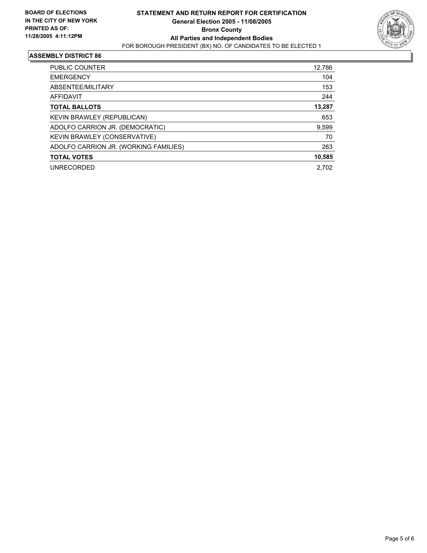

| PUBLIC COUNTER                        | 12,786 |
|---------------------------------------|--------|
| <b>EMERGENCY</b>                      | 104    |
| ABSENTEE/MILITARY                     | 153    |
| <b>AFFIDAVIT</b>                      | 244    |
| <b>TOTAL BALLOTS</b>                  | 13,287 |
| KEVIN BRAWLEY (REPUBLICAN)            | 653    |
| ADOLFO CARRION JR. (DEMOCRATIC)       | 9,599  |
| KEVIN BRAWLEY (CONSERVATIVE)          | 70     |
| ADOLFO CARRION JR. (WORKING FAMILIES) | 263    |
| <b>TOTAL VOTES</b>                    | 10,585 |
| <b>UNRECORDED</b>                     | 2.702  |